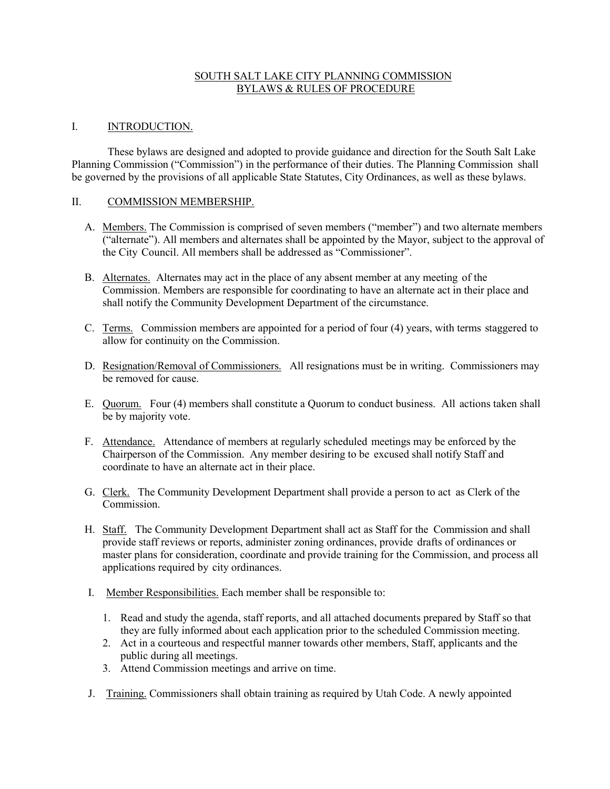## SOUTH SALT LAKE CITY PLANNING COMMISSION BYLAWS & RULES OF PROCEDURE

### I. **INTRODUCTION.**

These bylaws are designed and adopted to provide guidance and direction for the South Salt Lake Planning Commission ("Commission") in the performance of their duties. The Planning Commission shall be governed by the provisions of all applicable State Statutes, City Ordinances, as well as these bylaws.

#### II. COMMISSION MEMBERSHIP.

- A. Members. The Commission is comprised of seven members ("member") and two alternate members ("alternate"). All members and alternates shall be appointed by the Mayor, subject to the approval of the City Council. All members shall be addressed as "Commissioner".
- B. Alternates. Alternates may act in the place of any absent member at any meeting of the Commission. Members are responsible for coordinating to have an alternate act in their place and shall notify the Community Development Department of the circumstance.
- C. Terms. Commission members are appointed for a period of four (4) years, with terms staggered to allow for continuity on the Commission.
- D. Resignation/Removal of Commissioners. All resignations must be in writing. Commissioners may be removed for cause.
- E. Quorum. Four (4) members shall constitute a Quorum to conduct business. All actions taken shall be by majority vote.
- F. Attendance. Attendance of members at regularly scheduled meetings may be enforced by the Chairperson of the Commission. Any member desiring to be excused shall notify Staff and coordinate to have an alternate act in their place.
- G. Clerk. The Community Development Department shall provide a person to act as Clerk of the Commission.
- H. Staff. The Community Development Department shall act as Staff for the Commission and shall provide staff reviews or reports, administer zoning ordinances, provide drafts of ordinances or master plans for consideration, coordinate and provide training for the Commission, and process all applications required by city ordinances.
- I. Member Responsibilities. Each member shall be responsible to:
	- 1. Read and study the agenda, staff reports, and all attached documents prepared by Staff so that they are fully informed about each application prior to the scheduled Commission meeting.
	- 2. Act in a courteous and respectful manner towards other members, Staff, applicants and the public during all meetings.
	- 3. Attend Commission meetings and arrive on time.
- J. Training. Commissioners shall obtain training as required by Utah Code. A newly appointed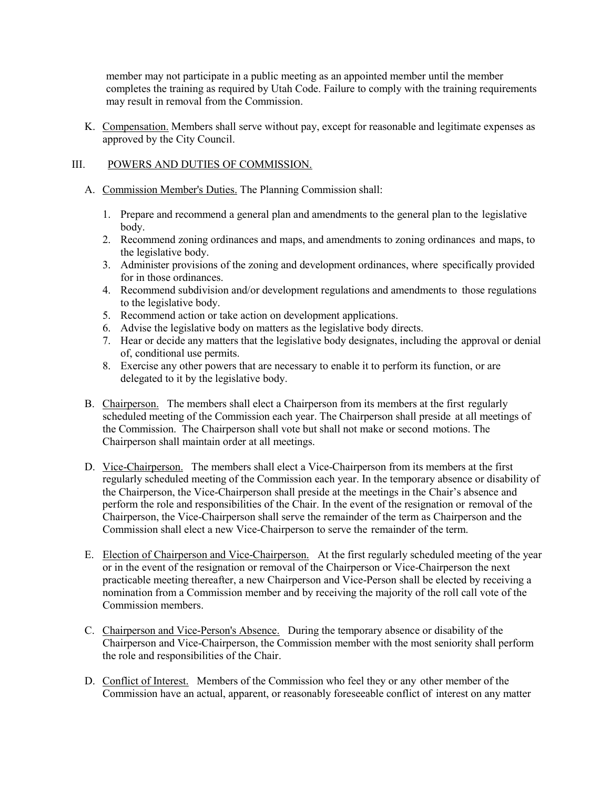member may not participate in a public meeting as an appointed member until the member completes the training as required by Utah Code. Failure to comply with the training requirements may result in removal from the Commission.

K. Compensation. Members shall serve without pay, except for reasonable and legitimate expenses as approved by the City Council.

# III. POWERS AND DUTIES OF COMMISSION.

- A. Commission Member's Duties. The Planning Commission shall:
	- 1. Prepare and recommend a general plan and amendments to the general plan to the legislative body.
	- 2. Recommend zoning ordinances and maps, and amendments to zoning ordinances and maps, to the legislative body.
	- 3. Administer provisions of the zoning and development ordinances, where specifically provided for in those ordinances.
	- 4. Recommend subdivision and/or development regulations and amendments to those regulations to the legislative body.
	- 5. Recommend action or take action on development applications.
	- 6. Advise the legislative body on matters as the legislative body directs.
	- 7. Hear or decide any matters that the legislative body designates, including the approval or denial of, conditional use permits.
	- 8. Exercise any other powers that are necessary to enable it to perform its function, or are delegated to it by the legislative body.
- B. Chairperson. The members shall elect a Chairperson from its members at the first regularly scheduled meeting of the Commission each year. The Chairperson shall preside at all meetings of the Commission. The Chairperson shall vote but shall not make or second motions. The Chairperson shall maintain order at all meetings.
- D. Vice-Chairperson. The members shall elect a Vice-Chairperson from its members at the first regularly scheduled meeting of the Commission each year. In the temporary absence or disability of the Chairperson, the Vice-Chairperson shall preside at the meetings in the Chair's absence and perform the role and responsibilities of the Chair. In the event of the resignation or removal of the Chairperson, the Vice-Chairperson shall serve the remainder of the term as Chairperson and the Commission shall elect a new Vice-Chairperson to serve the remainder of the term.
- E. Election of Chairperson and Vice-Chairperson. At the first regularly scheduled meeting of the year or in the event of the resignation or removal of the Chairperson or Vice-Chairperson the next practicable meeting thereafter, a new Chairperson and Vice-Person shall be elected by receiving a nomination from a Commission member and by receiving the majority of the roll call vote of the Commission members.
- C. Chairperson and Vice-Person's Absence. During the temporary absence or disability of the Chairperson and Vice-Chairperson, the Commission member with the most seniority shall perform the role and responsibilities of the Chair.
- D. Conflict of Interest. Members of the Commission who feel they or any other member of the Commission have an actual, apparent, or reasonably foreseeable conflict of interest on any matter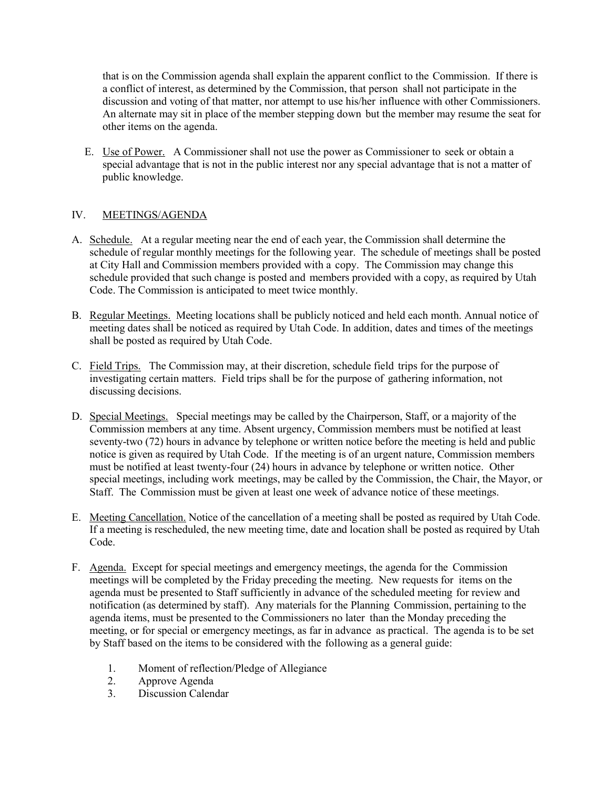that is on the Commission agenda shall explain the apparent conflict to the Commission. If there is a conflict of interest, as determined by the Commission, that person shall not participate in the discussion and voting of that matter, nor attempt to use his/her influence with other Commissioners. An alternate may sit in place of the member stepping down but the member may resume the seat for other items on the agenda.

E. Use of Power. A Commissioner shall not use the power as Commissioner to seek or obtain a special advantage that is not in the public interest nor any special advantage that is not a matter of public knowledge.

# IV. MEETINGS/AGENDA

- A. Schedule. At a regular meeting near the end of each year, the Commission shall determine the schedule of regular monthly meetings for the following year. The schedule of meetings shall be posted at City Hall and Commission members provided with a copy. The Commission may change this schedule provided that such change is posted and members provided with a copy, as required by Utah Code. The Commission is anticipated to meet twice monthly.
- B. Regular Meetings. Meeting locations shall be publicly noticed and held each month. Annual notice of meeting dates shall be noticed as required by Utah Code. In addition, dates and times of the meetings shall be posted as required by Utah Code.
- C. Field Trips. The Commission may, at their discretion, schedule field trips for the purpose of investigating certain matters. Field trips shall be for the purpose of gathering information, not discussing decisions.
- D. Special Meetings. Special meetings may be called by the Chairperson, Staff, or a majority of the Commission members at any time. Absent urgency, Commission members must be notified at least seventy-two (72) hours in advance by telephone or written notice before the meeting is held and public notice is given as required by Utah Code. If the meeting is of an urgent nature, Commission members must be notified at least twenty-four (24) hours in advance by telephone or written notice. Other special meetings, including work meetings, may be called by the Commission, the Chair, the Mayor, or Staff. The Commission must be given at least one week of advance notice of these meetings.
- E. Meeting Cancellation. Notice of the cancellation of a meeting shall be posted as required by Utah Code. If a meeting is rescheduled, the new meeting time, date and location shall be posted as required by Utah Code.
- F. Agenda. Except for special meetings and emergency meetings, the agenda for the Commission meetings will be completed by the Friday preceding the meeting. New requests for items on the agenda must be presented to Staff sufficiently in advance of the scheduled meeting for review and notification (as determined by staff). Any materials for the Planning Commission, pertaining to the agenda items, must be presented to the Commissioners no later than the Monday preceding the meeting, or for special or emergency meetings, as far in advance as practical. The agenda is to be set by Staff based on the items to be considered with the following as a general guide:
	- 1. Moment of reflection/Pledge of Allegiance<br>2. Approve Agenda
	- Approve Agenda
	- 3. Discussion Calendar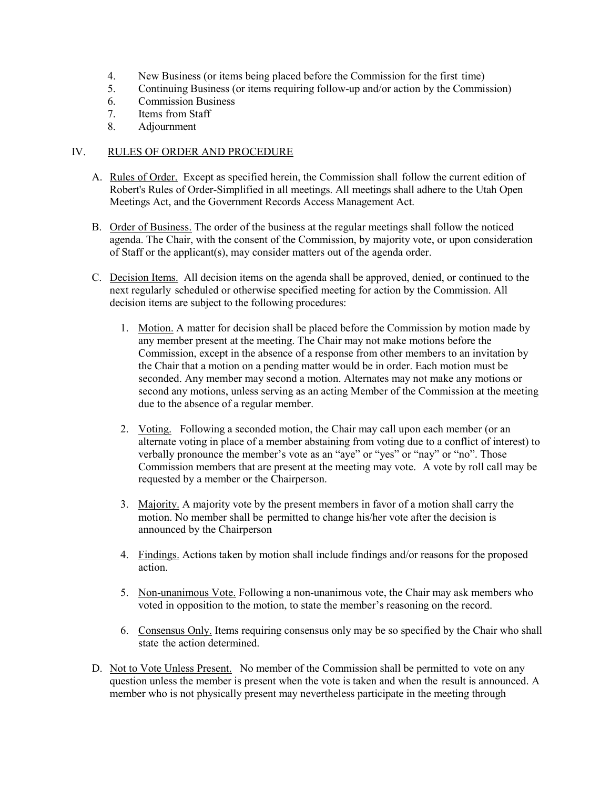- 4. New Business (or items being placed before the Commission for the first time)
- 5. Continuing Business (or items requiring follow-up and/or action by the Commission)
- 6. Commission Business
- 7. Items from Staff
- 8. Adjournment

### IV. RULES OF ORDER AND PROCEDURE

- A. Rules of Order. Except as specified herein, the Commission shall follow the current edition of Robert's Rules of Order-Simplified in all meetings. All meetings shall adhere to the Utah Open Meetings Act, and the Government Records Access Management Act.
- B. Order of Business. The order of the business at the regular meetings shall follow the noticed agenda. The Chair, with the consent of the Commission, by majority vote, or upon consideration of Staff or the applicant(s), may consider matters out of the agenda order.
- C. Decision Items. All decision items on the agenda shall be approved, denied, or continued to the next regularly scheduled or otherwise specified meeting for action by the Commission. All decision items are subject to the following procedures:
	- 1. Motion. A matter for decision shall be placed before the Commission by motion made by any member present at the meeting. The Chair may not make motions before the Commission, except in the absence of a response from other members to an invitation by the Chair that a motion on a pending matter would be in order. Each motion must be seconded. Any member may second a motion. Alternates may not make any motions or second any motions, unless serving as an acting Member of the Commission at the meeting due to the absence of a regular member.
	- 2. Voting. Following a seconded motion, the Chair may call upon each member (or an alternate voting in place of a member abstaining from voting due to a conflict of interest) to verbally pronounce the member's vote as an "aye" or "yes" or "nay" or "no". Those Commission members that are present at the meeting may vote. A vote by roll call may be requested by a member or the Chairperson.
	- 3. Majority. A majority vote by the present members in favor of a motion shall carry the motion. No member shall be permitted to change his/her vote after the decision is announced by the Chairperson
	- 4. Findings. Actions taken by motion shall include findings and/or reasons for the proposed action.
	- 5. Non-unanimous Vote. Following a non-unanimous vote, the Chair may ask members who voted in opposition to the motion, to state the member's reasoning on the record.
	- 6. Consensus Only. Items requiring consensus only may be so specified by the Chair who shall state the action determined.
- D. Not to Vote Unless Present. No member of the Commission shall be permitted to vote on any question unless the member is present when the vote is taken and when the result is announced. A member who is not physically present may nevertheless participate in the meeting through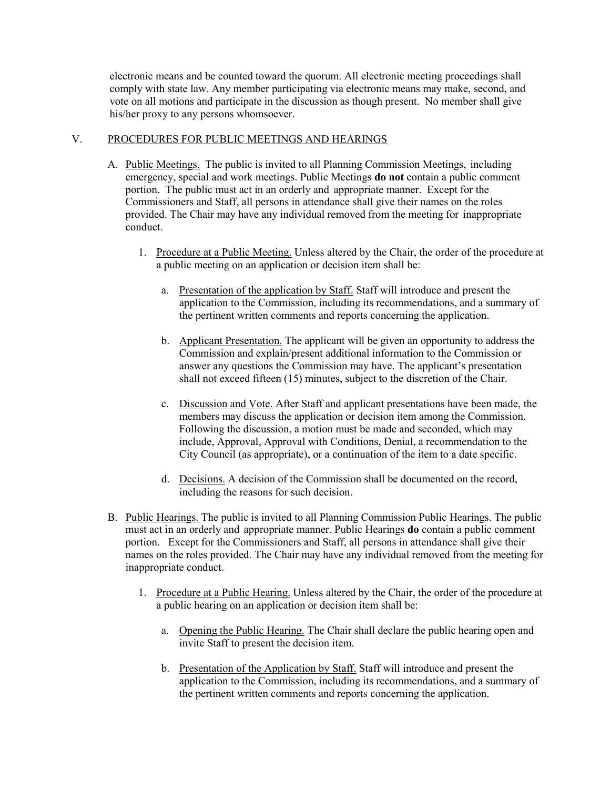electronic means and be counted toward the quorum. All electronic meeting proceedings shall comply with state law. Any member participating via electronic means may make, second, and vote on all motions and participate in the discussion as though present. No member shall give his/her proxy to any persons whomsoever.

### V. PROCEDURES FOR PUBLIC MEETINGS AND HEARINGS

- A. Public Meetings. The public is invited to all Planning Commission Meetings, including emergency, special and work meetings. Public Meetings **do not** contain a public comment portion. The public must act in an orderly and appropriate manner. Except for the Commissioners and Staff, all persons in attendance shall give their names on the roles provided. The Chair may have any individual removed from the meeting for inappropriate conduct.
	- 1. Procedure at a Public Meeting. Unless altered by the Chair, the order of the procedure at a public meeting on an application or decision item shall be:
		- a. Presentation of the application by Staff. Staff will introduce and present the application to the Commission, including its recommendations, and a summary of the pertinent written comments and reports concerning the application.
		- b. Applicant Presentation. The applicant will be given an opportunity to address the Commission and explain/present additional information to the Commission or answer any questions the Commission may have. The applicant's presentation shall not exceed fifteen (15) minutes, subject to the discretion of the Chair.
		- c. Discussion and Vote. After Staff and applicant presentations have been made, the members may discuss the application or decision item among the Commission. Following the discussion, a motion must be made and seconded, which may include, Approval, Approval with Conditions, Denial, a recommendation to the City Council (as appropriate), or a continuation of the item to a date specific.
		- d. Decisions. A decision of the Commission shall be documented on the record, including the reasons for such decision.
- B. Public Hearings. The public is invited to all Planning Commission Public Hearings. The public must act in an orderly and appropriate manner. Public Hearings **do** contain a public comment portion. Except for the Commissioners and Staff, all persons in attendance shall give their names on the roles provided. The Chair may have any individual removed from the meeting for inappropriate conduct.
	- 1. Procedure at a Public Hearing. Unless altered by the Chair, the order of the procedure at a public hearing on an application or decision item shall be:
		- a. Opening the Public Hearing. The Chair shall declare the public hearing open and invite Staff to present the decision item.
		- b. Presentation of the Application by Staff. Staff will introduce and present the application to the Commission, including its recommendations, and a summary of the pertinent written comments and reports concerning the application.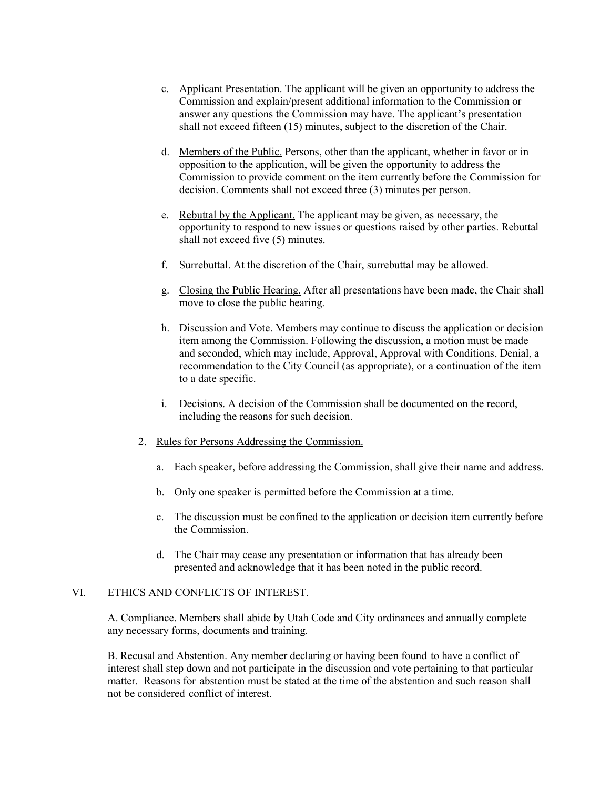- c. Applicant Presentation. The applicant will be given an opportunity to address the Commission and explain/present additional information to the Commission or answer any questions the Commission may have. The applicant's presentation shall not exceed fifteen (15) minutes, subject to the discretion of the Chair.
- d. Members of the Public. Persons, other than the applicant, whether in favor or in opposition to the application, will be given the opportunity to address the Commission to provide comment on the item currently before the Commission for decision. Comments shall not exceed three (3) minutes per person.
- e. Rebuttal by the Applicant. The applicant may be given, as necessary, the opportunity to respond to new issues or questions raised by other parties. Rebuttal shall not exceed five (5) minutes.
- f. Surrebuttal. At the discretion of the Chair, surrebuttal may be allowed.
- g. Closing the Public Hearing. After all presentations have been made, the Chair shall move to close the public hearing.
- h. Discussion and Vote. Members may continue to discuss the application or decision item among the Commission. Following the discussion, a motion must be made and seconded, which may include, Approval, Approval with Conditions, Denial, a recommendation to the City Council (as appropriate), or a continuation of the item to a date specific.
- i. Decisions. A decision of the Commission shall be documented on the record, including the reasons for such decision.
- 2. Rules for Persons Addressing the Commission.
	- a. Each speaker, before addressing the Commission, shall give their name and address.
	- b. Only one speaker is permitted before the Commission at a time.
	- c. The discussion must be confined to the application or decision item currently before the Commission.
	- d. The Chair may cease any presentation or information that has already been presented and acknowledge that it has been noted in the public record.

#### VI. ETHICS AND CONFLICTS OF INTEREST.

A. Compliance. Members shall abide by Utah Code and City ordinances and annually complete any necessary forms, documents and training.

B. Recusal and Abstention. Any member declaring or having been found to have a conflict of interest shall step down and not participate in the discussion and vote pertaining to that particular matter. Reasons for abstention must be stated at the time of the abstention and such reason shall not be considered conflict of interest.